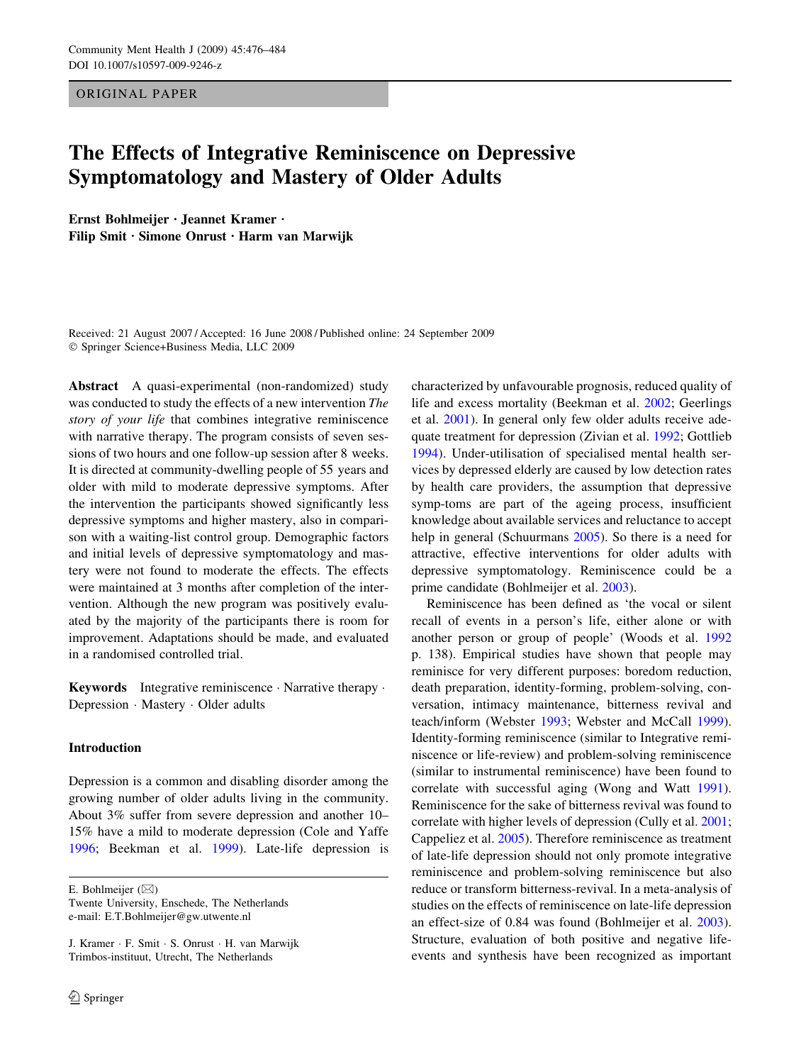ORIGINAL PAPER

# The Effects of Integrative Reminiscence on Depressive Symptomatology and Mastery of Older Adults

Ernst Bohlmeijer · Jeannet Kramer · Filip Smit  $\cdot$  Simone Onrust  $\cdot$  Harm van Marwijk

Received: 21 August 2007 / Accepted: 16 June 2008 / Published online: 24 September 2009 Springer Science+Business Media, LLC 2009

Abstract A quasi-experimental (non-randomized) study was conducted to study the effects of a new intervention The story of your life that combines integrative reminiscence with narrative therapy. The program consists of seven sessions of two hours and one follow-up session after 8 weeks. It is directed at community-dwelling people of 55 years and older with mild to moderate depressive symptoms. After the intervention the participants showed significantly less depressive symptoms and higher mastery, also in comparison with a waiting-list control group. Demographic factors and initial levels of depressive symptomatology and mastery were not found to moderate the effects. The effects were maintained at 3 months after completion of the intervention. Although the new program was positively evaluated by the majority of the participants there is room for improvement. Adaptations should be made, and evaluated in a randomised controlled trial.

Keywords Integrative reminiscence · Narrative therapy · Depression · Mastery · Older adults

# Introduction

Depression is a common and disabling disorder among the growing number of older adults living in the community. About 3% suffer from severe depression and another 10– 15% have a mild to moderate depression (Cole and Yaffe [1996;](#page-8-0) Beekman et al. [1999\)](#page-8-0). Late-life depression is

E. Bohlmeijer  $(\boxtimes)$ 

Twente University, Enschede, The Netherlands e-mail: E.T.Bohlmeijer@gw.utwente.nl

J. Kramer · F. Smit · S. Onrust · H. van Marwijk Trimbos-instituut, Utrecht, The Netherlands

characterized by unfavourable prognosis, reduced quality of life and excess mortality (Beekman et al. [2002](#page-8-0); Geerlings et al. [2001\)](#page-8-0). In general only few older adults receive adequate treatment for depression (Zivian et al. [1992;](#page-8-0) Gottlieb [1994](#page-8-0)). Under-utilisation of specialised mental health services by depressed elderly are caused by low detection rates by health care providers, the assumption that depressive symp-toms are part of the ageing process, insufficient knowledge about available services and reluctance to accept help in general (Schuurmans [2005\)](#page-8-0). So there is a need for attractive, effective interventions for older adults with depressive symptomatology. Reminiscence could be a prime candidate (Bohlmeijer et al. [2003\)](#page-8-0).

Reminiscence has been defined as 'the vocal or silent recall of events in a person's life, either alone or with another person or group of people' (Woods et al. [1992](#page-8-0) p. 138). Empirical studies have shown that people may reminisce for very different purposes: boredom reduction, death preparation, identity-forming, problem-solving, conversation, intimacy maintenance, bitterness revival and teach/inform (Webster [1993;](#page-8-0) Webster and McCall [1999](#page-8-0)). Identity-forming reminiscence (similar to Integrative reminiscence or life-review) and problem-solving reminiscence (similar to instrumental reminiscence) have been found to correlate with successful aging (Wong and Watt [1991](#page-8-0)). Reminiscence for the sake of bitterness revival was found to correlate with higher levels of depression (Cully et al. [2001](#page-8-0); Cappeliez et al. [2005](#page-8-0)). Therefore reminiscence as treatment of late-life depression should not only promote integrative reminiscence and problem-solving reminiscence but also reduce or transform bitterness-revival. In a meta-analysis of studies on the effects of reminiscence on late-life depression an effect-size of 0.84 was found (Bohlmeijer et al. [2003](#page-8-0)). Structure, evaluation of both positive and negative lifeevents and synthesis have been recognized as important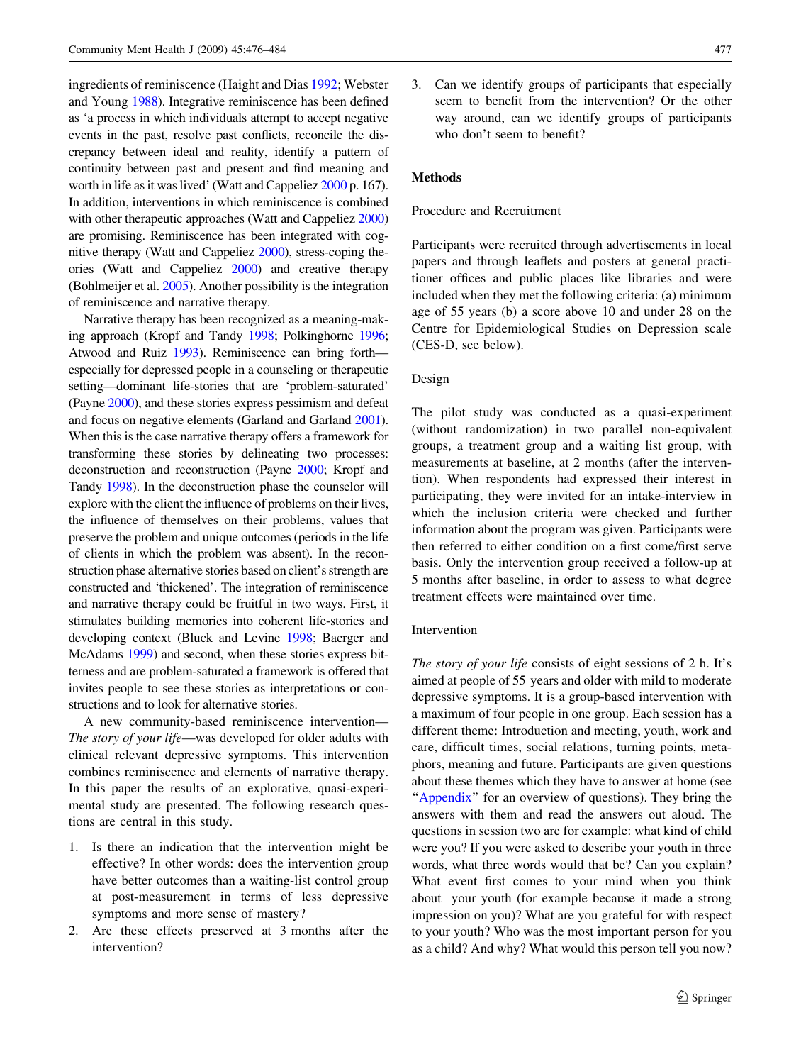ingredients of reminiscence (Haight and Dias [1992](#page-8-0); Webster and Young [1988](#page-8-0)). Integrative reminiscence has been defined as 'a process in which individuals attempt to accept negative events in the past, resolve past conflicts, reconcile the discrepancy between ideal and reality, identify a pattern of continuity between past and present and find meaning and worth in life as it was lived' (Watt and Cappeliez [2000](#page-8-0) p. 167). In addition, interventions in which reminiscence is combined with other therapeutic approaches (Watt and Cappeliez [2000\)](#page-8-0) are promising. Reminiscence has been integrated with cognitive therapy (Watt and Cappeliez [2000\)](#page-8-0), stress-coping theories (Watt and Cappeliez [2000\)](#page-8-0) and creative therapy (Bohlmeijer et al. [2005](#page-8-0)). Another possibility is the integration of reminiscence and narrative therapy.

Narrative therapy has been recognized as a meaning-making approach (Kropf and Tandy [1998;](#page-8-0) Polkinghorne [1996](#page-8-0); Atwood and Ruiz [1993\)](#page-7-0). Reminiscence can bring forth especially for depressed people in a counseling or therapeutic setting—dominant life-stories that are 'problem-saturated' (Payne [2000\)](#page-8-0), and these stories express pessimism and defeat and focus on negative elements (Garland and Garland [2001](#page-8-0)). When this is the case narrative therapy offers a framework for transforming these stories by delineating two processes: deconstruction and reconstruction (Payne [2000;](#page-8-0) Kropf and Tandy [1998](#page-8-0)). In the deconstruction phase the counselor will explore with the client the influence of problems on their lives, the influence of themselves on their problems, values that preserve the problem and unique outcomes (periods in the life of clients in which the problem was absent). In the reconstruction phase alternative stories based on client's strength are constructed and 'thickened'. The integration of reminiscence and narrative therapy could be fruitful in two ways. First, it stimulates building memories into coherent life-stories and developing context (Bluck and Levine [1998](#page-8-0); Baerger and McAdams [1999\)](#page-7-0) and second, when these stories express bitterness and are problem-saturated a framework is offered that invites people to see these stories as interpretations or constructions and to look for alternative stories.

A new community-based reminiscence intervention— The story of your life—was developed for older adults with clinical relevant depressive symptoms. This intervention combines reminiscence and elements of narrative therapy. In this paper the results of an explorative, quasi-experimental study are presented. The following research questions are central in this study.

- 1. Is there an indication that the intervention might be effective? In other words: does the intervention group have better outcomes than a waiting-list control group at post-measurement in terms of less depressive symptoms and more sense of mastery?
- 2. Are these effects preserved at 3 months after the intervention?

3. Can we identify groups of participants that especially seem to benefit from the intervention? Or the other way around, can we identify groups of participants who don't seem to benefit?

# Methods

# Procedure and Recruitment

Participants were recruited through advertisements in local papers and through leaflets and posters at general practitioner offices and public places like libraries and were included when they met the following criteria: (a) minimum age of 55 years (b) a score above 10 and under 28 on the Centre for Epidemiological Studies on Depression scale (CES-D, see below).

## Design

The pilot study was conducted as a quasi-experiment (without randomization) in two parallel non-equivalent groups, a treatment group and a waiting list group, with measurements at baseline, at 2 months (after the intervention). When respondents had expressed their interest in participating, they were invited for an intake-interview in which the inclusion criteria were checked and further information about the program was given. Participants were then referred to either condition on a first come/first serve basis. Only the intervention group received a follow-up at 5 months after baseline, in order to assess to what degree treatment effects were maintained over time.

# Intervention

The story of your life consists of eight sessions of 2 h. It's aimed at people of 55 years and older with mild to moderate depressive symptoms. It is a group-based intervention with a maximum of four people in one group. Each session has a different theme: Introduction and meeting, youth, work and care, difficult times, social relations, turning points, metaphors, meaning and future. Participants are given questions about these themes which they have to answer at home (see "[Appendix](#page-7-0)" for an overview of questions). They bring the answers with them and read the answers out aloud. The questions in session two are for example: what kind of child were you? If you were asked to describe your youth in three words, what three words would that be? Can you explain? What event first comes to your mind when you think about your youth (for example because it made a strong impression on you)? What are you grateful for with respect to your youth? Who was the most important person for you as a child? And why? What would this person tell you now?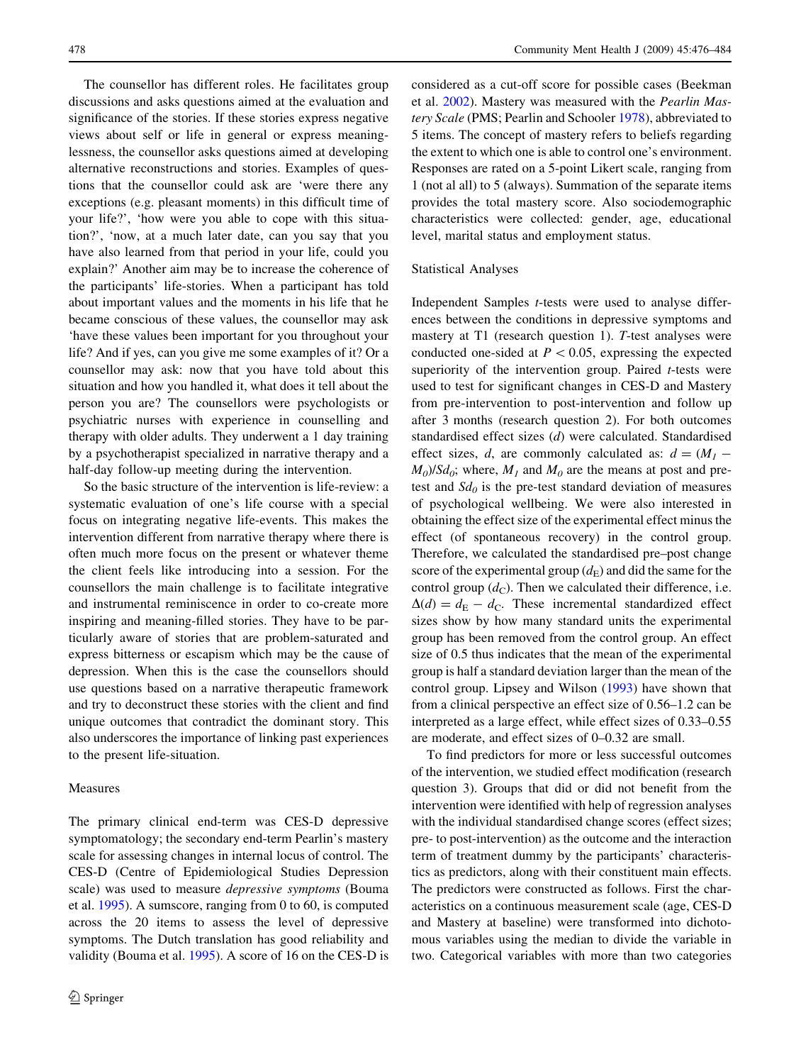The counsellor has different roles. He facilitates group discussions and asks questions aimed at the evaluation and significance of the stories. If these stories express negative views about self or life in general or express meaninglessness, the counsellor asks questions aimed at developing alternative reconstructions and stories. Examples of questions that the counsellor could ask are 'were there any exceptions (e.g. pleasant moments) in this difficult time of your life?', 'how were you able to cope with this situation?', 'now, at a much later date, can you say that you have also learned from that period in your life, could you explain?' Another aim may be to increase the coherence of the participants' life-stories. When a participant has told about important values and the moments in his life that he became conscious of these values, the counsellor may ask 'have these values been important for you throughout your life? And if yes, can you give me some examples of it? Or a counsellor may ask: now that you have told about this situation and how you handled it, what does it tell about the person you are? The counsellors were psychologists or psychiatric nurses with experience in counselling and therapy with older adults. They underwent a 1 day training by a psychotherapist specialized in narrative therapy and a half-day follow-up meeting during the intervention.

So the basic structure of the intervention is life-review: a systematic evaluation of one's life course with a special focus on integrating negative life-events. This makes the intervention different from narrative therapy where there is often much more focus on the present or whatever theme the client feels like introducing into a session. For the counsellors the main challenge is to facilitate integrative and instrumental reminiscence in order to co-create more inspiring and meaning-filled stories. They have to be particularly aware of stories that are problem-saturated and express bitterness or escapism which may be the cause of depression. When this is the case the counsellors should use questions based on a narrative therapeutic framework and try to deconstruct these stories with the client and find unique outcomes that contradict the dominant story. This also underscores the importance of linking past experiences to the present life-situation.

## Measures

The primary clinical end-term was CES-D depressive symptomatology; the secondary end-term Pearlin's mastery scale for assessing changes in internal locus of control. The CES-D (Centre of Epidemiological Studies Depression scale) was used to measure depressive symptoms (Bouma et al. [1995\)](#page-8-0). A sumscore, ranging from 0 to 60, is computed across the 20 items to assess the level of depressive symptoms. The Dutch translation has good reliability and validity (Bouma et al. [1995](#page-8-0)). A score of 16 on the CES-D is considered as a cut-off score for possible cases (Beekman et al. [2002](#page-8-0)). Mastery was measured with the Pearlin Mastery Scale (PMS; Pearlin and Schooler [1978\)](#page-8-0), abbreviated to 5 items. The concept of mastery refers to beliefs regarding the extent to which one is able to control one's environment. Responses are rated on a 5-point Likert scale, ranging from 1 (not al all) to 5 (always). Summation of the separate items provides the total mastery score. Also sociodemographic characteristics were collected: gender, age, educational level, marital status and employment status.

# Statistical Analyses

Independent Samples t-tests were used to analyse differences between the conditions in depressive symptoms and mastery at T1 (research question 1). T-test analyses were conducted one-sided at  $P < 0.05$ , expressing the expected superiority of the intervention group. Paired  $t$ -tests were used to test for significant changes in CES-D and Mastery from pre-intervention to post-intervention and follow up after 3 months (research question 2). For both outcomes standardised effect sizes (d) were calculated. Standardised effect sizes, d, are commonly calculated as:  $d = (M_1 M_0$ )/Sd<sub>0</sub>; where,  $M_1$  and  $M_0$  are the means at post and pretest and  $Sd_0$  is the pre-test standard deviation of measures of psychological wellbeing. We were also interested in obtaining the effect size of the experimental effect minus the effect (of spontaneous recovery) in the control group. Therefore, we calculated the standardised pre–post change score of the experimental group  $(d_E)$  and did the same for the control group  $(d<sub>C</sub>)$ . Then we calculated their difference, i.e.  $\Delta(d) = d_{\rm E} - d_{\rm C}$ . These incremental standardized effect sizes show by how many standard units the experimental group has been removed from the control group. An effect size of 0.5 thus indicates that the mean of the experimental group is half a standard deviation larger than the mean of the control group. Lipsey and Wilson ([1993\)](#page-8-0) have shown that from a clinical perspective an effect size of 0.56–1.2 can be interpreted as a large effect, while effect sizes of 0.33–0.55 are moderate, and effect sizes of 0–0.32 are small.

To find predictors for more or less successful outcomes of the intervention, we studied effect modification (research question 3). Groups that did or did not benefit from the intervention were identified with help of regression analyses with the individual standardised change scores (effect sizes; pre- to post-intervention) as the outcome and the interaction term of treatment dummy by the participants' characteristics as predictors, along with their constituent main effects. The predictors were constructed as follows. First the characteristics on a continuous measurement scale (age, CES-D and Mastery at baseline) were transformed into dichotomous variables using the median to divide the variable in two. Categorical variables with more than two categories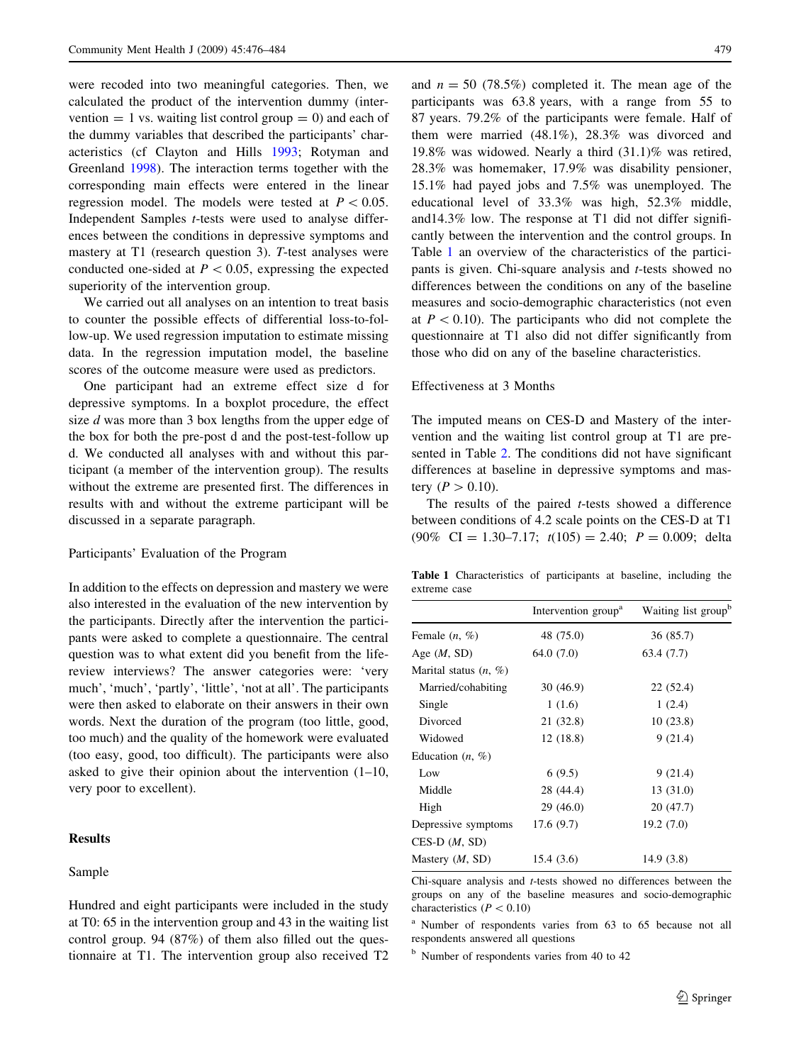were recoded into two meaningful categories. Then, we calculated the product of the intervention dummy (intervention  $= 1$  vs. waiting list control group  $= 0$ ) and each of the dummy variables that described the participants' characteristics (cf Clayton and Hills [1993;](#page-8-0) Rotyman and Greenland [1998\)](#page-8-0). The interaction terms together with the corresponding main effects were entered in the linear regression model. The models were tested at  $P < 0.05$ . Independent Samples t-tests were used to analyse differences between the conditions in depressive symptoms and mastery at T1 (research question 3). T-test analyses were conducted one-sided at  $P < 0.05$ , expressing the expected superiority of the intervention group.

We carried out all analyses on an intention to treat basis to counter the possible effects of differential loss-to-follow-up. We used regression imputation to estimate missing data. In the regression imputation model, the baseline scores of the outcome measure were used as predictors.

One participant had an extreme effect size d for depressive symptoms. In a boxplot procedure, the effect size d was more than 3 box lengths from the upper edge of the box for both the pre-post d and the post-test-follow up d. We conducted all analyses with and without this participant (a member of the intervention group). The results without the extreme are presented first. The differences in results with and without the extreme participant will be discussed in a separate paragraph.

#### Participants' Evaluation of the Program

In addition to the effects on depression and mastery we were also interested in the evaluation of the new intervention by the participants. Directly after the intervention the participants were asked to complete a questionnaire. The central question was to what extent did you benefit from the lifereview interviews? The answer categories were: 'very much', 'much', 'partly', 'little', 'not at all'. The participants were then asked to elaborate on their answers in their own words. Next the duration of the program (too little, good, too much) and the quality of the homework were evaluated (too easy, good, too difficult). The participants were also asked to give their opinion about the intervention (1–10, very poor to excellent).

# **Results**

# Sample

Hundred and eight participants were included in the study at T0: 65 in the intervention group and 43 in the waiting list control group. 94 (87%) of them also filled out the questionnaire at T1. The intervention group also received T2

and  $n = 50$  (78.5%) completed it. The mean age of the participants was 63.8 years, with a range from 55 to 87 years. 79.2% of the participants were female. Half of them were married (48.1%), 28.3% was divorced and 19.8% was widowed. Nearly a third (31.1)% was retired, 28.3% was homemaker, 17.9% was disability pensioner, 15.1% had payed jobs and 7.5% was unemployed. The educational level of 33.3% was high, 52.3% middle, and14.3% low. The response at T1 did not differ significantly between the intervention and the control groups. In Table 1 an overview of the characteristics of the participants is given. Chi-square analysis and t-tests showed no differences between the conditions on any of the baseline measures and socio-demographic characteristics (not even at  $P < 0.10$ ). The participants who did not complete the questionnaire at T1 also did not differ significantly from those who did on any of the baseline characteristics.

#### Effectiveness at 3 Months

The imputed means on CES-D and Mastery of the intervention and the waiting list control group at T1 are presented in Table [2.](#page-4-0) The conditions did not have significant differences at baseline in depressive symptoms and mastery ( $P > 0.10$ ).

The results of the paired  $t$ -tests showed a difference between conditions of 4.2 scale points on the CES-D at T1  $(90\% \text{ CI} = 1.30-7.17; t(105) = 2.40; P = 0.009; \text{delta}$ 

Table 1 Characteristics of participants at baseline, including the extreme case

|                         | Intervention group <sup>a</sup> | Waiting list group <sup>t</sup> |
|-------------------------|---------------------------------|---------------------------------|
| Female $(n, \%)$        | 48 (75.0)                       | 36 (85.7)                       |
| Age $(M, SD)$           | 64.0 (7.0)                      | 63.4 (7.7)                      |
| Marital status $(n, %)$ |                                 |                                 |
| Married/cohabiting      | 30(46.9)                        | 22 (52.4)                       |
| Single                  | 1(1.6)                          | 1(2.4)                          |
| Divorced                | 21 (32.8)                       | 10(23.8)                        |
| Widowed                 | 12(18.8)                        | 9(21.4)                         |
| Education $(n, \%)$     |                                 |                                 |
| Low                     | 6(9.5)                          | 9(21.4)                         |
| Middle                  | 28 (44.4)                       | 13 (31.0)                       |
| High                    | 29 (46.0)                       | 20 (47.7)                       |
| Depressive symptoms     | 17.6(9.7)                       | 19.2(7.0)                       |
| CES-D $(M, SD)$         |                                 |                                 |
| Mastery $(M, SD)$       | 15.4 (3.6)                      | 14.9 (3.8)                      |

Chi-square analysis and t-tests showed no differences between the groups on any of the baseline measures and socio-demographic characteristics ( $P < 0.10$ )

<sup>a</sup> Number of respondents varies from 63 to 65 because not all respondents answered all questions

<sup>b</sup> Number of respondents varies from 40 to 42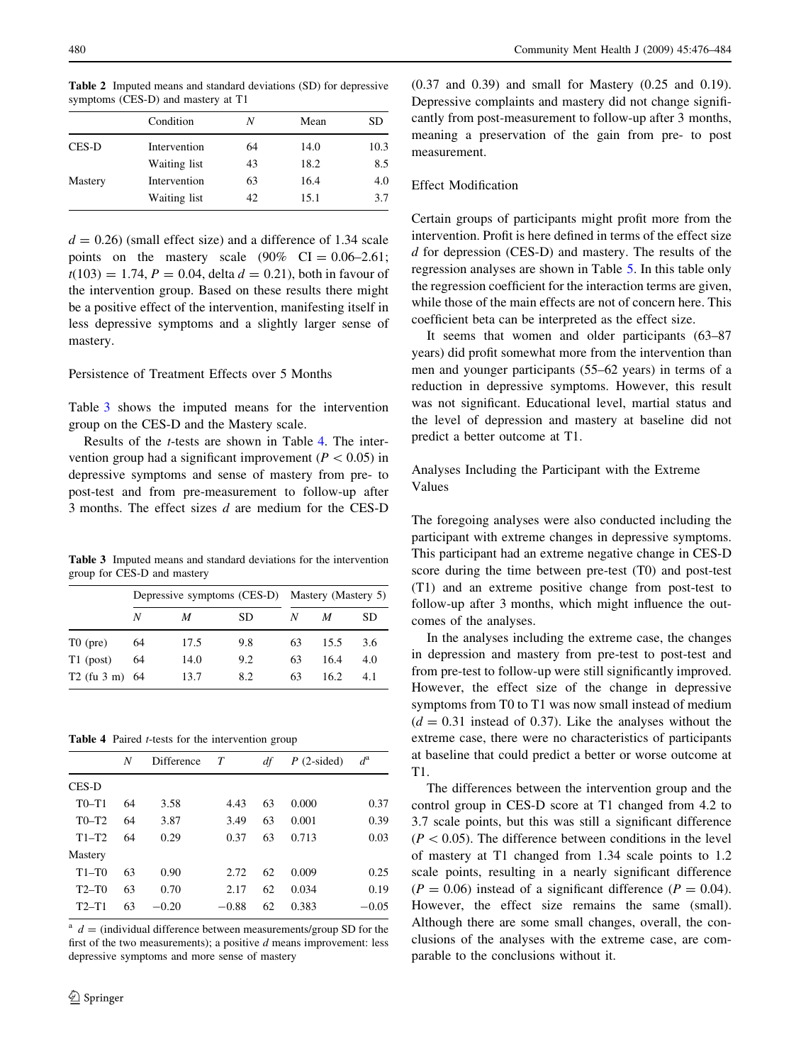|         | Condition    | N  | Mean | SD   |
|---------|--------------|----|------|------|
| CES-D   | Intervention | 64 | 14.0 | 10.3 |
|         | Waiting list | 43 | 18.2 | 8.5  |
| Mastery | Intervention | 63 | 16.4 | 4.0  |
|         | Waiting list | 42 | 15.1 | 3.7  |
|         |              |    |      |      |

<span id="page-4-0"></span>Table 2 Imputed means and standard deviations (SD) for depressive symptoms (CES-D) and mastery at T1

 $d = 0.26$ ) (small effect size) and a difference of 1.34 scale points on the mastery scale  $(90\% \text{ CI} = 0.06-2.61)$ ;  $t(103) = 1.74, P = 0.04$ , delta  $d = 0.21$ ), both in favour of the intervention group. Based on these results there might be a positive effect of the intervention, manifesting itself in less depressive symptoms and a slightly larger sense of mastery.

# Persistence of Treatment Effects over 5 Months

Table 3 shows the imputed means for the intervention group on the CES-D and the Mastery scale.

Results of the t-tests are shown in Table 4. The intervention group had a significant improvement ( $P \lt 0.05$ ) in depressive symptoms and sense of mastery from pre- to post-test and from pre-measurement to follow-up after 3 months. The effect sizes  $d$  are medium for the CES-D

Table 3 Imputed means and standard deviations for the intervention group for CES-D and mastery

|                  | Depressive symptoms (CES-D) Mastery (Mastery 5) |      |     |    |       |     |
|------------------|-------------------------------------------------|------|-----|----|-------|-----|
|                  | N                                               | M    | SD. | Ν  | M     | SD  |
| $T0$ (pre)       | 64                                              | 17.5 | 9.8 | 63 | 15.5  | 3.6 |
| $T1$ (post)      | 64                                              | 14.0 | 9.2 | 63 | 16.4  | 4.0 |
| $T2$ (fu 3 m) 64 |                                                 | 13.7 | 8.2 | 63 | 16.2. | 4.1 |

Table 4 Paired *t*-tests for the intervention group

|         | N  | Difference | T       | df | $P$ (2-sided) | $d^{\rm a}$ |
|---------|----|------------|---------|----|---------------|-------------|
| CES-D   |    |            |         |    |               |             |
| $T0-T1$ | 64 | 3.58       | 4.43    | 63 | 0.000         | 0.37        |
| $T0-T2$ | 64 | 3.87       | 3.49    | 63 | 0.001         | 0.39        |
| $T1-T2$ | 64 | 0.29       | 0.37    | 63 | 0.713         | 0.03        |
| Mastery |    |            |         |    |               |             |
| $T1-T0$ | 63 | 0.90       | 2.72    | 62 | 0.009         | 0.25        |
| $T2-T0$ | 63 | 0.70       | 2.17    | 62 | 0.034         | 0.19        |
| $T2-T1$ | 63 | $-0.20$    | $-0.88$ | 62 | 0.383         | $-0.05$     |

 $a^d$  d = (individual difference between measurements/group SD for the first of the two measurements); a positive  $d$  means improvement: less depressive symptoms and more sense of mastery

(0.37 and 0.39) and small for Mastery (0.25 and 0.19). Depressive complaints and mastery did not change significantly from post-measurement to follow-up after 3 months, meaning a preservation of the gain from pre- to post measurement.

# Effect Modification

Certain groups of participants might profit more from the intervention. Profit is here defined in terms of the effect size d for depression (CES-D) and mastery. The results of the regression analyses are shown in Table [5](#page-5-0). In this table only the regression coefficient for the interaction terms are given, while those of the main effects are not of concern here. This coefficient beta can be interpreted as the effect size.

It seems that women and older participants (63–87 years) did profit somewhat more from the intervention than men and younger participants (55–62 years) in terms of a reduction in depressive symptoms. However, this result was not significant. Educational level, martial status and the level of depression and mastery at baseline did not predict a better outcome at T1.

# Analyses Including the Participant with the Extreme Values

The foregoing analyses were also conducted including the participant with extreme changes in depressive symptoms. This participant had an extreme negative change in CES-D score during the time between pre-test (T0) and post-test (T1) and an extreme positive change from post-test to follow-up after 3 months, which might influence the outcomes of the analyses.

In the analyses including the extreme case, the changes in depression and mastery from pre-test to post-test and from pre-test to follow-up were still significantly improved. However, the effect size of the change in depressive symptoms from T0 to T1 was now small instead of medium  $(d = 0.31$  instead of 0.37). Like the analyses without the extreme case, there were no characteristics of participants at baseline that could predict a better or worse outcome at T1.

The differences between the intervention group and the control group in CES-D score at T1 changed from 4.2 to 3.7 scale points, but this was still a significant difference  $(P<0.05)$ . The difference between conditions in the level of mastery at T1 changed from 1.34 scale points to 1.2 scale points, resulting in a nearly significant difference  $(P = 0.06)$  instead of a significant difference  $(P = 0.04)$ . However, the effect size remains the same (small). Although there are some small changes, overall, the conclusions of the analyses with the extreme case, are comparable to the conclusions without it.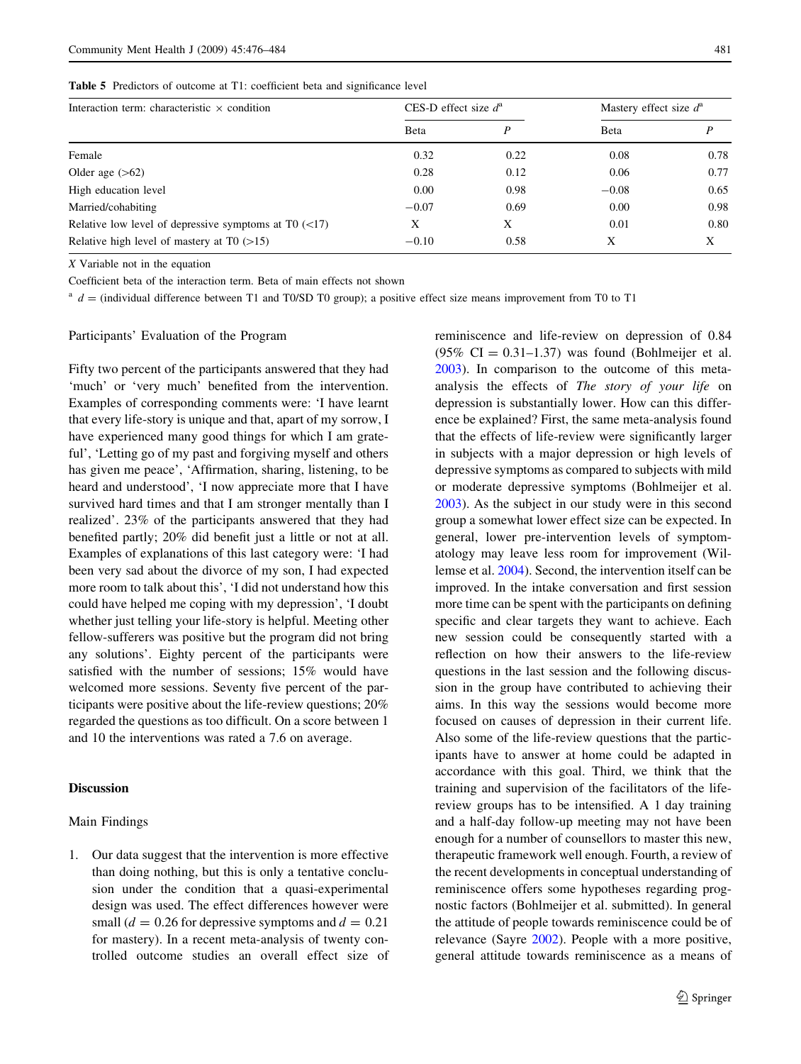<span id="page-5-0"></span>

|  |  |  |  |  |  |  | <b>Table 5</b> Predictors of outcome at T1: coefficient beta and significance level |  |
|--|--|--|--|--|--|--|-------------------------------------------------------------------------------------|--|
|--|--|--|--|--|--|--|-------------------------------------------------------------------------------------|--|

| Interaction term: characteristic $\times$ condition         | CES-D effect size $d^a$ |      | Mastery effect size $d^a$ |      |
|-------------------------------------------------------------|-------------------------|------|---------------------------|------|
|                                                             | Beta                    |      | Beta                      |      |
| Female                                                      | 0.32                    | 0.22 | 0.08                      | 0.78 |
| Older age $(>62)$                                           | 0.28                    | 0.12 | 0.06                      | 0.77 |
| High education level                                        | 0.00                    | 0.98 | $-0.08$                   | 0.65 |
| Married/cohabiting                                          | $-0.07$                 | 0.69 | 0.00                      | 0.98 |
| Relative low level of depressive symptoms at T0 $(\leq 17)$ | X                       | X    | 0.01                      | 0.80 |
| Relative high level of mastery at $T0$ ( $>15$ )            | $-0.10$                 | 0.58 | X                         | Χ    |

X Variable not in the equation

Coefficient beta of the interaction term. Beta of main effects not shown

 $a_d$  = (individual difference between T1 and T0/SD T0 group); a positive effect size means improvement from T0 to T1

#### Participants' Evaluation of the Program

Fifty two percent of the participants answered that they had 'much' or 'very much' benefited from the intervention. Examples of corresponding comments were: 'I have learnt that every life-story is unique and that, apart of my sorrow, I have experienced many good things for which I am grateful', 'Letting go of my past and forgiving myself and others has given me peace', 'Affirmation, sharing, listening, to be heard and understood', 'I now appreciate more that I have survived hard times and that I am stronger mentally than I realized'. 23% of the participants answered that they had benefited partly; 20% did benefit just a little or not at all. Examples of explanations of this last category were: 'I had been very sad about the divorce of my son, I had expected more room to talk about this', 'I did not understand how this could have helped me coping with my depression', 'I doubt whether just telling your life-story is helpful. Meeting other fellow-sufferers was positive but the program did not bring any solutions'. Eighty percent of the participants were satisfied with the number of sessions; 15% would have welcomed more sessions. Seventy five percent of the participants were positive about the life-review questions; 20% regarded the questions as too difficult. On a score between 1 and 10 the interventions was rated a 7.6 on average.

# **Discussion**

#### Main Findings

1. Our data suggest that the intervention is more effective than doing nothing, but this is only a tentative conclusion under the condition that a quasi-experimental design was used. The effect differences however were small ( $d = 0.26$  for depressive symptoms and  $d = 0.21$ for mastery). In a recent meta-analysis of twenty controlled outcome studies an overall effect size of reminiscence and life-review on depression of 0.84 (95% CI =  $0.31-1.37$ ) was found (Bohlmeijer et al. [2003\)](#page-8-0). In comparison to the outcome of this metaanalysis the effects of The story of your life on depression is substantially lower. How can this difference be explained? First, the same meta-analysis found that the effects of life-review were significantly larger in subjects with a major depression or high levels of depressive symptoms as compared to subjects with mild or moderate depressive symptoms (Bohlmeijer et al. [2003\)](#page-8-0). As the subject in our study were in this second group a somewhat lower effect size can be expected. In general, lower pre-intervention levels of symptomatology may leave less room for improvement (Willemse et al. [2004](#page-8-0)). Second, the intervention itself can be improved. In the intake conversation and first session more time can be spent with the participants on defining specific and clear targets they want to achieve. Each new session could be consequently started with a reflection on how their answers to the life-review questions in the last session and the following discussion in the group have contributed to achieving their aims. In this way the sessions would become more focused on causes of depression in their current life. Also some of the life-review questions that the participants have to answer at home could be adapted in accordance with this goal. Third, we think that the training and supervision of the facilitators of the lifereview groups has to be intensified. A 1 day training and a half-day follow-up meeting may not have been enough for a number of counsellors to master this new, therapeutic framework well enough. Fourth, a review of the recent developments in conceptual understanding of reminiscence offers some hypotheses regarding prognostic factors (Bohlmeijer et al. submitted). In general the attitude of people towards reminiscence could be of relevance (Sayre [2002\)](#page-8-0). People with a more positive, general attitude towards reminiscence as a means of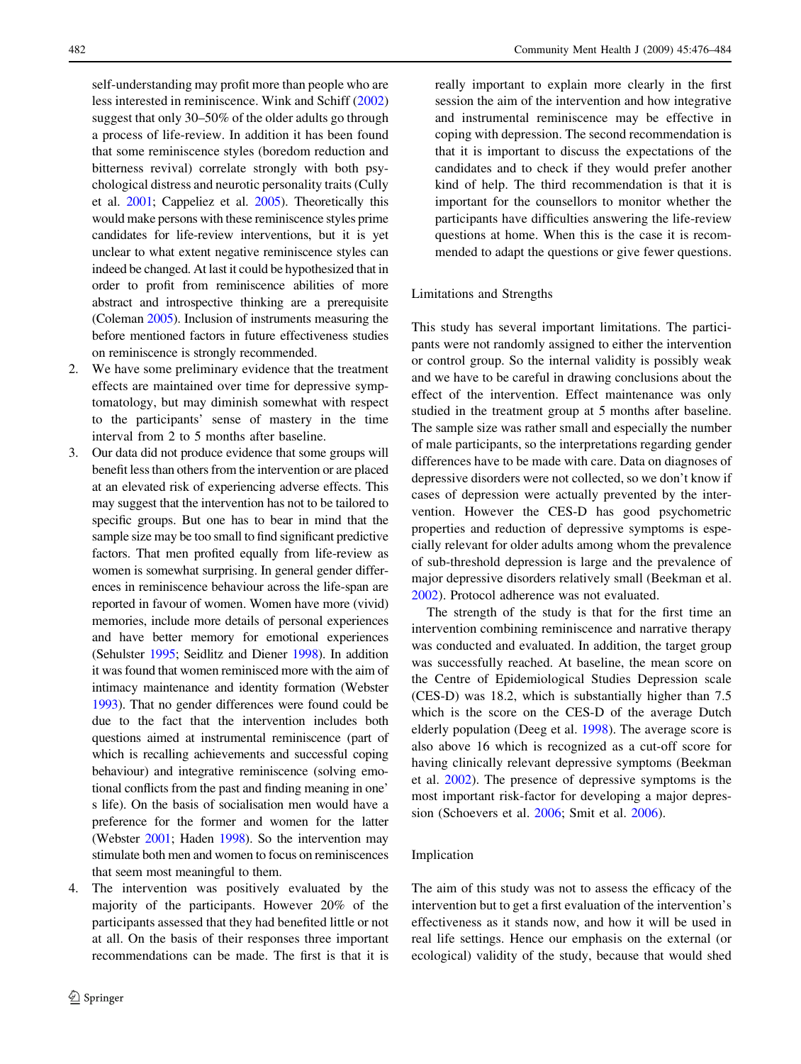self-understanding may profit more than people who are less interested in reminiscence. Wink and Schiff ([2002\)](#page-8-0) suggest that only 30–50% of the older adults go through a process of life-review. In addition it has been found that some reminiscence styles (boredom reduction and bitterness revival) correlate strongly with both psychological distress and neurotic personality traits (Cully et al. [2001](#page-8-0); Cappeliez et al. [2005\)](#page-8-0). Theoretically this would make persons with these reminiscence styles prime candidates for life-review interventions, but it is yet unclear to what extent negative reminiscence styles can indeed be changed. At last it could be hypothesized that in order to profit from reminiscence abilities of more abstract and introspective thinking are a prerequisite (Coleman [2005\)](#page-8-0). Inclusion of instruments measuring the before mentioned factors in future effectiveness studies on reminiscence is strongly recommended.

- 2. We have some preliminary evidence that the treatment effects are maintained over time for depressive symptomatology, but may diminish somewhat with respect to the participants' sense of mastery in the time interval from 2 to 5 months after baseline.
- 3. Our data did not produce evidence that some groups will benefit less than others from the intervention or are placed at an elevated risk of experiencing adverse effects. This may suggest that the intervention has not to be tailored to specific groups. But one has to bear in mind that the sample size may be too small to find significant predictive factors. That men profited equally from life-review as women is somewhat surprising. In general gender differences in reminiscence behaviour across the life-span are reported in favour of women. Women have more (vivid) memories, include more details of personal experiences and have better memory for emotional experiences (Sehulster [1995;](#page-8-0) Seidlitz and Diener [1998\)](#page-8-0). In addition it was found that women reminisced more with the aim of intimacy maintenance and identity formation (Webster [1993\)](#page-8-0). That no gender differences were found could be due to the fact that the intervention includes both questions aimed at instrumental reminiscence (part of which is recalling achievements and successful coping behaviour) and integrative reminiscence (solving emotional conflicts from the past and finding meaning in one' s life). On the basis of socialisation men would have a preference for the former and women for the latter (Webster [2001](#page-8-0); Haden [1998](#page-8-0)). So the intervention may stimulate both men and women to focus on reminiscences that seem most meaningful to them.
- 4. The intervention was positively evaluated by the majority of the participants. However 20% of the participants assessed that they had benefited little or not at all. On the basis of their responses three important recommendations can be made. The first is that it is

really important to explain more clearly in the first session the aim of the intervention and how integrative and instrumental reminiscence may be effective in coping with depression. The second recommendation is that it is important to discuss the expectations of the candidates and to check if they would prefer another kind of help. The third recommendation is that it is important for the counsellors to monitor whether the participants have difficulties answering the life-review questions at home. When this is the case it is recommended to adapt the questions or give fewer questions.

## Limitations and Strengths

This study has several important limitations. The participants were not randomly assigned to either the intervention or control group. So the internal validity is possibly weak and we have to be careful in drawing conclusions about the effect of the intervention. Effect maintenance was only studied in the treatment group at 5 months after baseline. The sample size was rather small and especially the number of male participants, so the interpretations regarding gender differences have to be made with care. Data on diagnoses of depressive disorders were not collected, so we don't know if cases of depression were actually prevented by the intervention. However the CES-D has good psychometric properties and reduction of depressive symptoms is especially relevant for older adults among whom the prevalence of sub-threshold depression is large and the prevalence of major depressive disorders relatively small (Beekman et al. [2002](#page-8-0)). Protocol adherence was not evaluated.

The strength of the study is that for the first time an intervention combining reminiscence and narrative therapy was conducted and evaluated. In addition, the target group was successfully reached. At baseline, the mean score on the Centre of Epidemiological Studies Depression scale (CES-D) was 18.2, which is substantially higher than 7.5 which is the score on the CES-D of the average Dutch elderly population (Deeg et al. [1998\)](#page-8-0). The average score is also above 16 which is recognized as a cut-off score for having clinically relevant depressive symptoms (Beekman et al. [2002\)](#page-8-0). The presence of depressive symptoms is the most important risk-factor for developing a major depression (Schoevers et al. [2006](#page-8-0); Smit et al. [2006](#page-8-0)).

#### Implication

The aim of this study was not to assess the efficacy of the intervention but to get a first evaluation of the intervention's effectiveness as it stands now, and how it will be used in real life settings. Hence our emphasis on the external (or ecological) validity of the study, because that would shed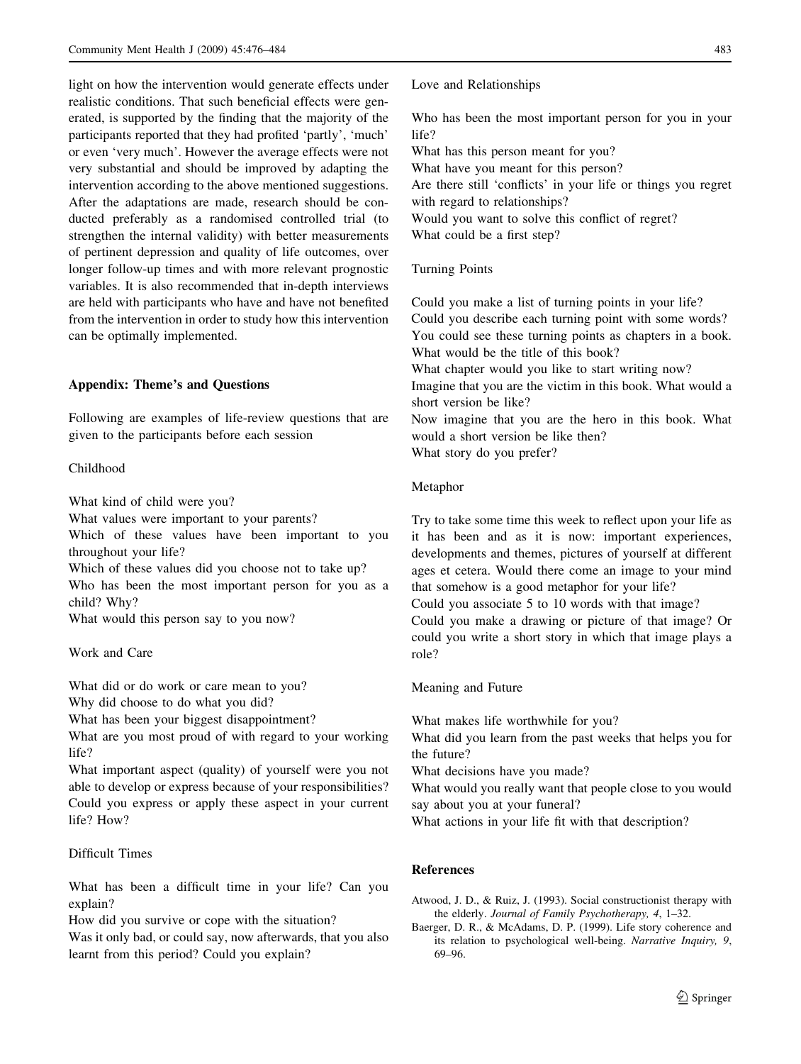<span id="page-7-0"></span>light on how the intervention would generate effects under realistic conditions. That such beneficial effects were generated, is supported by the finding that the majority of the participants reported that they had profited 'partly', 'much' or even 'very much'. However the average effects were not very substantial and should be improved by adapting the intervention according to the above mentioned suggestions. After the adaptations are made, research should be conducted preferably as a randomised controlled trial (to strengthen the internal validity) with better measurements of pertinent depression and quality of life outcomes, over longer follow-up times and with more relevant prognostic variables. It is also recommended that in-depth interviews are held with participants who have and have not benefited from the intervention in order to study how this intervention can be optimally implemented.

## Appendix: Theme's and Questions

Following are examples of life-review questions that are given to the participants before each session

# Childhood

What kind of child were you? What values were important to your parents? Which of these values have been important to you throughout your life? Which of these values did you choose not to take up? Who has been the most important person for you as a child? Why?

What would this person say to you now?

## Work and Care

What did or do work or care mean to you?

Why did choose to do what you did?

What has been your biggest disappointment?

What are you most proud of with regard to your working life?

What important aspect (quality) of yourself were you not able to develop or express because of your responsibilities? Could you express or apply these aspect in your current life? How?

# Difficult Times

What has been a difficult time in your life? Can you explain?

How did you survive or cope with the situation?

Was it only bad, or could say, now afterwards, that you also learnt from this period? Could you explain?

Love and Relationships

Who has been the most important person for you in your life?

What has this person meant for you?

What have you meant for this person?

Are there still 'conflicts' in your life or things you regret with regard to relationships?

Would you want to solve this conflict of regret?

What could be a first step?

# Turning Points

Could you make a list of turning points in your life? Could you describe each turning point with some words? You could see these turning points as chapters in a book. What would be the title of this book? What chapter would you like to start writing now? Imagine that you are the victim in this book. What would a short version be like?

Now imagine that you are the hero in this book. What would a short version be like then?

What story do you prefer?

## Metaphor

Try to take some time this week to reflect upon your life as it has been and as it is now: important experiences, developments and themes, pictures of yourself at different ages et cetera. Would there come an image to your mind that somehow is a good metaphor for your life?

Could you associate 5 to 10 words with that image? Could you make a drawing or picture of that image? Or could you write a short story in which that image plays a role?

Meaning and Future

What makes life worthwhile for you?

What did you learn from the past weeks that helps you for the future?

What decisions have you made?

What would you really want that people close to you would say about you at your funeral?

What actions in your life fit with that description?

# References

Atwood, J. D., & Ruiz, J. (1993). Social constructionist therapy with the elderly. Journal of Family Psychotherapy, 4, 1–32.

Baerger, D. R., & McAdams, D. P. (1999). Life story coherence and its relation to psychological well-being. Narrative Inquiry, 9, 69–96.